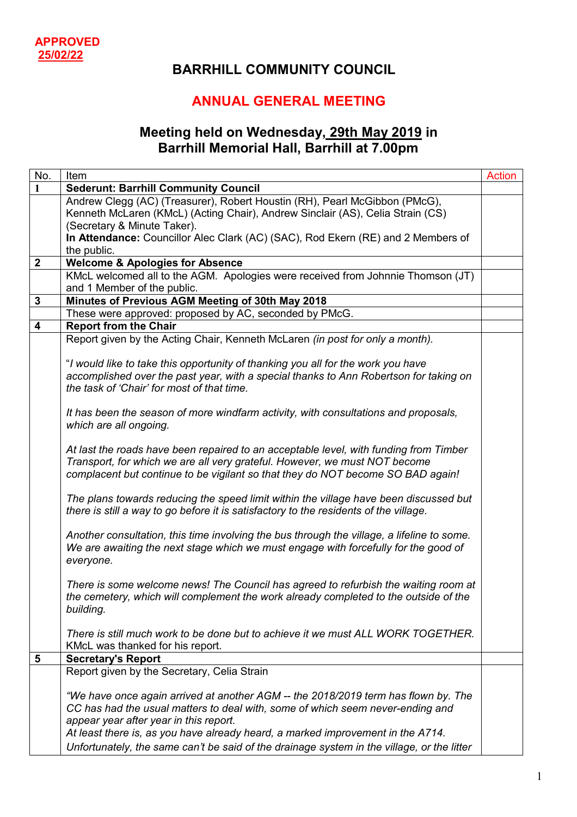## **BARRHILL COMMUNITY COUNCIL**

## **ANNUAL GENERAL MEETING**

## **Meeting held on Wednesday, 29th May 2019 in Barrhill Memorial Hall, Barrhill at 7.00pm**

| No.                     | Item                                                                                       | <b>Action</b> |
|-------------------------|--------------------------------------------------------------------------------------------|---------------|
| 1                       | <b>Sederunt: Barrhill Community Council</b>                                                |               |
|                         | Andrew Clegg (AC) (Treasurer), Robert Houstin (RH), Pearl McGibbon (PMcG),                 |               |
|                         | Kenneth McLaren (KMcL) (Acting Chair), Andrew Sinclair (AS), Celia Strain (CS)             |               |
|                         | (Secretary & Minute Taker).                                                                |               |
|                         | In Attendance: Councillor Alec Clark (AC) (SAC), Rod Ekern (RE) and 2 Members of           |               |
|                         | the public.                                                                                |               |
| $\boldsymbol{2}$        | <b>Welcome &amp; Apologies for Absence</b>                                                 |               |
|                         | KMcL welcomed all to the AGM. Apologies were received from Johnnie Thomson (JT)            |               |
|                         | and 1 Member of the public.                                                                |               |
| $\mathbf 3$             | Minutes of Previous AGM Meeting of 30th May 2018                                           |               |
|                         | These were approved: proposed by AC, seconded by PMcG.                                     |               |
| $\overline{\mathbf{4}}$ | <b>Report from the Chair</b>                                                               |               |
|                         | Report given by the Acting Chair, Kenneth McLaren (in post for only a month).              |               |
|                         |                                                                                            |               |
|                         | "I would like to take this opportunity of thanking you all for the work you have           |               |
|                         | accomplished over the past year, with a special thanks to Ann Robertson for taking on      |               |
|                         | the task of 'Chair' for most of that time.                                                 |               |
|                         |                                                                                            |               |
|                         | It has been the season of more windfarm activity, with consultations and proposals,        |               |
|                         | which are all ongoing.                                                                     |               |
|                         |                                                                                            |               |
|                         | At last the roads have been repaired to an acceptable level, with funding from Timber      |               |
|                         | Transport, for which we are all very grateful. However, we must NOT become                 |               |
|                         | complacent but continue to be vigilant so that they do NOT become SO BAD again!            |               |
|                         |                                                                                            |               |
|                         | The plans towards reducing the speed limit within the village have been discussed but      |               |
|                         | there is still a way to go before it is satisfactory to the residents of the village.      |               |
|                         |                                                                                            |               |
|                         | Another consultation, this time involving the bus through the village, a lifeline to some. |               |
|                         | We are awaiting the next stage which we must engage with forcefully for the good of        |               |
|                         | everyone.                                                                                  |               |
|                         |                                                                                            |               |
|                         | There is some welcome news! The Council has agreed to refurbish the waiting room at        |               |
|                         | the cemetery, which will complement the work already completed to the outside of the       |               |
|                         | building.                                                                                  |               |
|                         |                                                                                            |               |
|                         | There is still much work to be done but to achieve it we must ALL WORK TOGETHER.           |               |
|                         | KMcL was thanked for his report.                                                           |               |
| $5\phantom{1}$          | <b>Secretary's Report</b>                                                                  |               |
|                         | Report given by the Secretary, Celia Strain                                                |               |
|                         |                                                                                            |               |
|                         | "We have once again arrived at another AGM -- the 2018/2019 term has flown by. The         |               |
|                         | CC has had the usual matters to deal with, some of which seem never-ending and             |               |
|                         | appear year after year in this report.                                                     |               |
|                         | At least there is, as you have already heard, a marked improvement in the A714.            |               |
|                         | Unfortunately, the same can't be said of the drainage system in the village, or the litter |               |
|                         |                                                                                            |               |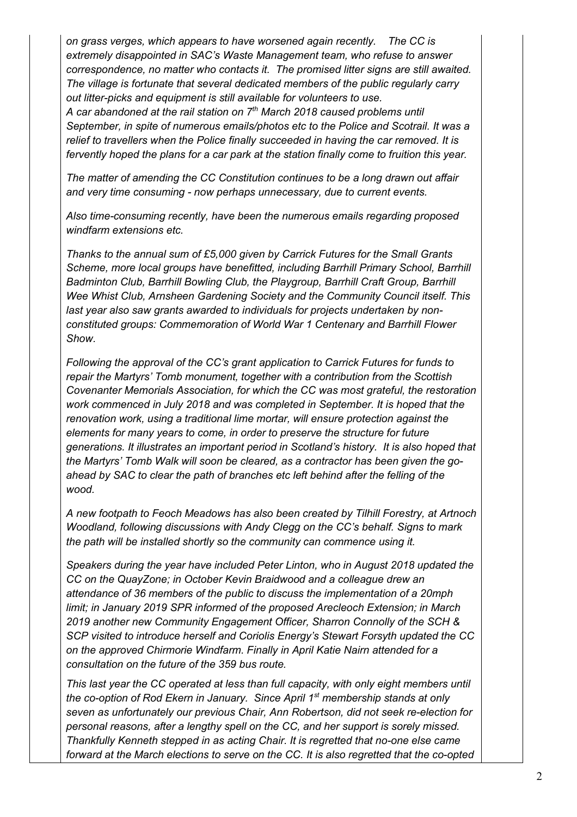*on grass verges, which appears to have worsened again recently. The CC is extremely disappointed in SAC's Waste Management team, who refuse to answer correspondence, no matter who contacts it. The promised litter signs are still awaited. The village is fortunate that several dedicated members of the public regularly carry out litter-picks and equipment is still available for volunteers to use. A car abandoned at the rail station on 7th March 2018 caused problems until September, in spite of numerous emails/photos etc to the Police and Scotrail. It was a relief to travellers when the Police finally succeeded in having the car removed. It is fervently hoped the plans for a car park at the station finally come to fruition this year.* 

*The matter of amending the CC Constitution continues to be a long drawn out affair and very time consuming - now perhaps unnecessary, due to current events.* 

*Also time-consuming recently, have been the numerous emails regarding proposed windfarm extensions etc.* 

*Thanks to the annual sum of £5,000 given by Carrick Futures for the Small Grants Scheme, more local groups have benefitted, including Barrhill Primary School, Barrhill Badminton Club, Barrhill Bowling Club, the Playgroup, Barrhill Craft Group, Barrhill Wee Whist Club, Arnsheen Gardening Society and the Community Council itself. This last year also saw grants awarded to individuals for projects undertaken by nonconstituted groups: Commemoration of World War 1 Centenary and Barrhill Flower Show.* 

*Following the approval of the CC's grant application to Carrick Futures for funds to repair the Martyrs' Tomb monument, together with a contribution from the Scottish Covenanter Memorials Association, for which the CC was most grateful, the restoration work commenced in July 2018 and was completed in September. It is hoped that the renovation work, using a traditional lime mortar, will ensure protection against the elements for many years to come, in order to preserve the structure for future generations. It illustrates an important period in Scotland's history. It is also hoped that the Martyrs' Tomb Walk will soon be cleared, as a contractor has been given the goahead by SAC to clear the path of branches etc left behind after the felling of the wood.* 

*A new footpath to Feoch Meadows has also been created by Tilhill Forestry, at Artnoch Woodland, following discussions with Andy Clegg on the CC's behalf. Signs to mark the path will be installed shortly so the community can commence using it.* 

*Speakers during the year have included Peter Linton, who in August 2018 updated the CC on the QuayZone; in October Kevin Braidwood and a colleague drew an attendance of 36 members of the public to discuss the implementation of a 20mph limit; in January 2019 SPR informed of the proposed Arecleoch Extension; in March 2019 another new Community Engagement Officer, Sharron Connolly of the SCH & SCP visited to introduce herself and Coriolis Energy's Stewart Forsyth updated the CC on the approved Chirmorie Windfarm. Finally in April Katie Nairn attended for a consultation on the future of the 359 bus route.* 

*This last year the CC operated at less than full capacity, with only eight members until the co-option of Rod Ekern in January. Since April 1st membership stands at only seven as unfortunately our previous Chair, Ann Robertson, did not seek re-election for personal reasons, after a lengthy spell on the CC, and her support is sorely missed. Thankfully Kenneth stepped in as acting Chair. It is regretted that no-one else came forward at the March elections to serve on the CC. It is also regretted that the co-opted*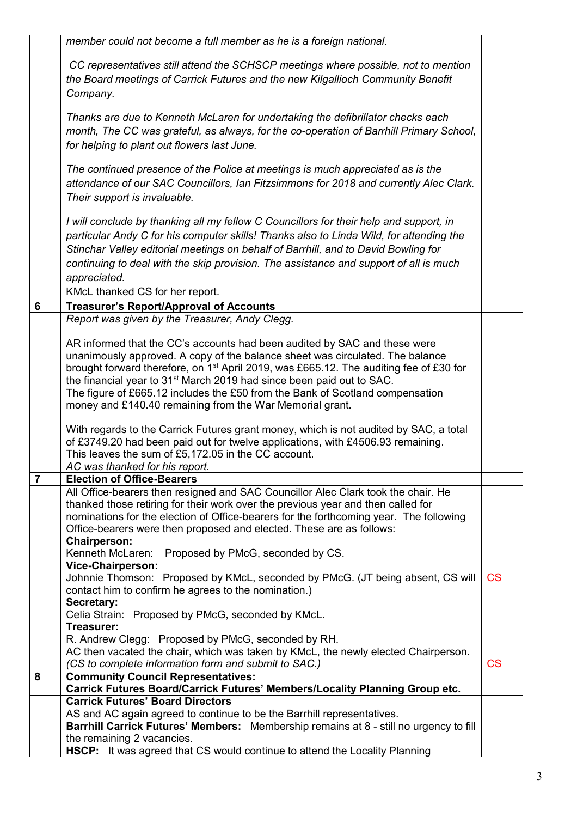|                | member could not become a full member as he is a foreign national.                                                                                                      |                          |
|----------------|-------------------------------------------------------------------------------------------------------------------------------------------------------------------------|--------------------------|
|                |                                                                                                                                                                         |                          |
|                | CC representatives still attend the SCHSCP meetings where possible, not to mention                                                                                      |                          |
|                | the Board meetings of Carrick Futures and the new Kilgallioch Community Benefit                                                                                         |                          |
|                | Company.                                                                                                                                                                |                          |
|                | Thanks are due to Kenneth McLaren for undertaking the defibrillator checks each                                                                                         |                          |
|                | month, The CC was grateful, as always, for the co-operation of Barrhill Primary School,                                                                                 |                          |
|                | for helping to plant out flowers last June.                                                                                                                             |                          |
|                |                                                                                                                                                                         |                          |
|                | The continued presence of the Police at meetings is much appreciated as is the<br>attendance of our SAC Councillors, Ian Fitzsimmons for 2018 and currently Alec Clark. |                          |
|                | Their support is invaluable.                                                                                                                                            |                          |
|                |                                                                                                                                                                         |                          |
|                | I will conclude by thanking all my fellow C Councillors for their help and support, in                                                                                  |                          |
|                | particular Andy C for his computer skills! Thanks also to Linda Wild, for attending the                                                                                 |                          |
|                | Stinchar Valley editorial meetings on behalf of Barrhill, and to David Bowling for                                                                                      |                          |
|                | continuing to deal with the skip provision. The assistance and support of all is much                                                                                   |                          |
|                | appreciated.                                                                                                                                                            |                          |
|                | KMcL thanked CS for her report.                                                                                                                                         |                          |
| 6              | <b>Treasurer's Report/Approval of Accounts</b>                                                                                                                          |                          |
|                | Report was given by the Treasurer, Andy Clegg.                                                                                                                          |                          |
|                | AR informed that the CC's accounts had been audited by SAC and these were                                                                                               |                          |
|                | unanimously approved. A copy of the balance sheet was circulated. The balance                                                                                           |                          |
|                | brought forward therefore, on 1 <sup>st</sup> April 2019, was £665.12. The auditing fee of £30 for                                                                      |                          |
|                | the financial year to 31 <sup>st</sup> March 2019 had since been paid out to SAC.                                                                                       |                          |
|                | The figure of £665.12 includes the £50 from the Bank of Scotland compensation<br>money and £140.40 remaining from the War Memorial grant.                               |                          |
|                |                                                                                                                                                                         |                          |
|                | With regards to the Carrick Futures grant money, which is not audited by SAC, a total                                                                                   |                          |
|                | of £3749.20 had been paid out for twelve applications, with £4506.93 remaining.                                                                                         |                          |
|                | This leaves the sum of £5,172.05 in the CC account.                                                                                                                     |                          |
| $\overline{7}$ | AC was thanked for his report.<br><b>Election of Office-Bearers</b>                                                                                                     |                          |
|                | All Office-bearers then resigned and SAC Councillor Alec Clark took the chair. He                                                                                       |                          |
|                | thanked those retiring for their work over the previous year and then called for                                                                                        |                          |
|                | nominations for the election of Office-bearers for the forthcoming year. The following                                                                                  |                          |
|                | Office-bearers were then proposed and elected. These are as follows:                                                                                                    |                          |
|                | <b>Chairperson:</b><br>Kenneth McLaren:<br>Proposed by PMcG, seconded by CS.                                                                                            |                          |
|                | <b>Vice-Chairperson:</b>                                                                                                                                                |                          |
|                | Johnnie Thomson: Proposed by KMcL, seconded by PMcG. (JT being absent, CS will                                                                                          | CS                       |
|                | contact him to confirm he agrees to the nomination.)                                                                                                                    |                          |
|                | Secretary:                                                                                                                                                              |                          |
|                | Celia Strain: Proposed by PMcG, seconded by KMcL.<br>Treasurer:                                                                                                         |                          |
|                | R. Andrew Clegg: Proposed by PMcG, seconded by RH.                                                                                                                      |                          |
|                | AC then vacated the chair, which was taken by KMcL, the newly elected Chairperson.                                                                                      |                          |
|                | (CS to complete information form and submit to SAC.)                                                                                                                    | $\mathsf{CS}\phantom{0}$ |
| 8              | <b>Community Council Representatives:</b>                                                                                                                               |                          |
|                | Carrick Futures Board/Carrick Futures' Members/Locality Planning Group etc.<br><b>Carrick Futures' Board Directors</b>                                                  |                          |
|                | AS and AC again agreed to continue to be the Barrhill representatives.                                                                                                  |                          |
|                | Barrhill Carrick Futures' Members: Membership remains at 8 - still no urgency to fill                                                                                   |                          |
|                | the remaining 2 vacancies.                                                                                                                                              |                          |
|                | HSCP: It was agreed that CS would continue to attend the Locality Planning                                                                                              |                          |